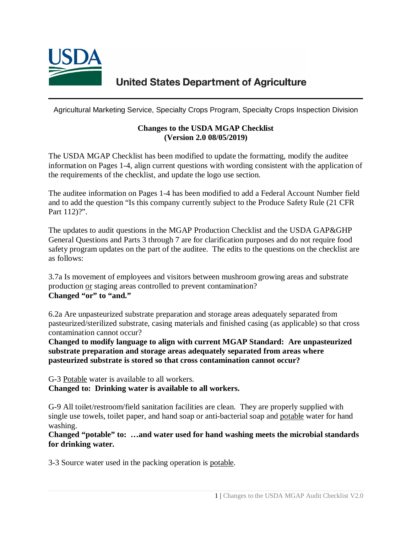

# **United States Department of Agriculture**

Agricultural Marketing Service, Specialty Crops Program, Specialty Crops Inspection Division

#### **Changes to the USDA MGAP Checklist (Version 2.0 08/05/2019)**

The USDA MGAP Checklist has been modified to update the formatting, modify the auditee information on Pages 1-4, align current questions with wording consistent with the application of the requirements of the checklist, and update the logo use section.

The auditee information on Pages 1-4 has been modified to add a Federal Account Number field and to add the question "Is this company currently subject to the Produce Safety Rule (21 CFR Part 112)?".

The updates to audit questions in the MGAP Production Checklist and the USDA GAP&GHP General Questions and Parts 3 through 7 are for clarification purposes and do not require food safety program updates on the part of the auditee. The edits to the questions on the checklist are as follows:

3.7a Is movement of employees and visitors between mushroom growing areas and substrate production or staging areas controlled to prevent contamination? **Changed "or" to "and."** 

6.2a Are unpasteurized substrate preparation and storage areas adequately separated from pasteurized/sterilized substrate, casing materials and finished casing (as applicable) so that cross contamination cannot occur?

**Changed to modify language to align with current MGAP Standard: Are unpasteurized substrate preparation and storage areas adequately separated from areas where pasteurized substrate is stored so that cross contamination cannot occur?**

G-3 Potable water is available to all workers. **Changed to: Drinking water is available to all workers.**

G-9 All toilet/restroom/field sanitation facilities are clean. They are properly supplied with single use towels, toilet paper, and hand soap or anti-bacterial soap and potable water for hand washing.

**Changed "potable" to: …and water used for hand washing meets the microbial standards for drinking water.**

3-3 Source water used in the packing operation is potable.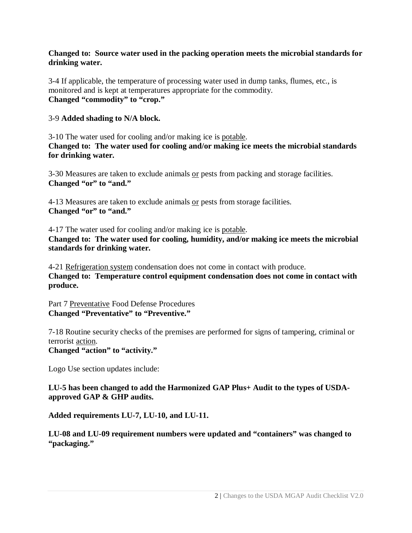### **Changed to: Source water used in the packing operation meets the microbial standards for drinking water.**

3-4 If applicable, the temperature of processing water used in dump tanks, flumes, etc., is monitored and is kept at temperatures appropriate for the commodity. **Changed "commodity" to "crop."**

#### 3-9 **Added shading to N/A block.**

3-10 The water used for cooling and/or making ice is potable. **Changed to: The water used for cooling and/or making ice meets the microbial standards for drinking water.**

3-30 Measures are taken to exclude animals or pests from packing and storage facilities. **Changed "or" to "and."**

4-13 Measures are taken to exclude animals or pests from storage facilities. **Changed "or" to "and."**

4-17 The water used for cooling and/or making ice is potable. **Changed to: The water used for cooling, humidity, and/or making ice meets the microbial standards for drinking water.**

4-21 Refrigeration system condensation does not come in contact with produce. **Changed to: Temperature control equipment condensation does not come in contact with produce.**

Part 7 Preventative Food Defense Procedures **Changed "Preventative" to "Preventive."**

7-18 Routine security checks of the premises are performed for signs of tampering, criminal or terrorist action.

### **Changed "action" to "activity."**

Logo Use section updates include:

**LU-5 has been changed to add the Harmonized GAP Plus+ Audit to the types of USDAapproved GAP & GHP audits.** 

**Added requirements LU-7, LU-10, and LU-11.**

**LU-08 and LU-09 requirement numbers were updated and "containers" was changed to "packaging."**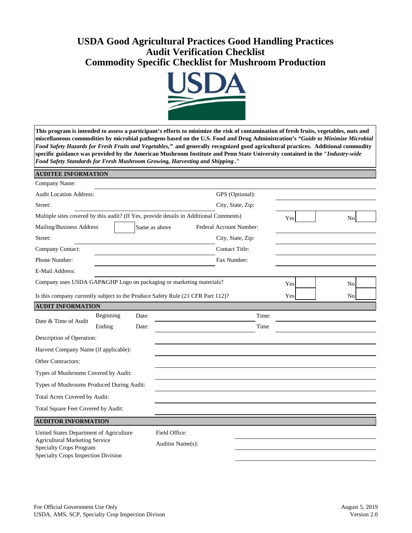## **USDA Good Agricultural Practices Good Handling Practices Audit Verification Checklist Commodity Specific Checklist for Mushroom Production**



**This program is intended to assess a participant's efforts to minimize the risk of contamination of fresh fruits, vegetables, nuts and miscellaneous commodities by microbial pathogens based on the U.S. Food and Drug Administration's** *"Guide to Minimize Microbial Food Safety Hazards for Fresh Fruits and Vegetables,"* **and generally recognized good agricultural practices. Additional commodity specific guidance was provided by the American Mushroom Institute and Penn State University contained in the "***Industry-wide Food Safety Standards for Fresh Mushroom Growing, Harvesting and Shipping* **."** 

| <b>AUDITEE INFORMATION</b>                                                                                     |           |       |                  |                       |                         |     |                |  |
|----------------------------------------------------------------------------------------------------------------|-----------|-------|------------------|-----------------------|-------------------------|-----|----------------|--|
| Company Name:                                                                                                  |           |       |                  |                       |                         |     |                |  |
| <b>Audit Location Address:</b>                                                                                 |           |       |                  |                       | GPS (Optional):         |     |                |  |
| Street:                                                                                                        |           |       |                  | City, State, Zip:     |                         |     |                |  |
| Multiple sites covered by this audit? (If Yes, provide details in Additional Comments)                         |           |       |                  |                       |                         | Yes | <b>No</b>      |  |
| Mailing/Business Address                                                                                       |           |       | Same as above    |                       | Federal Account Number: |     |                |  |
| Street:                                                                                                        |           |       |                  | City, State, Zip:     |                         |     |                |  |
| Company Contact:                                                                                               |           |       |                  | <b>Contact Title:</b> |                         |     |                |  |
| Phone Number:                                                                                                  |           |       |                  | Fax Number:           |                         |     |                |  |
| E-Mail Address:                                                                                                |           |       |                  |                       |                         |     |                |  |
| Company uses USDA GAP&GHP Logo on packaging or marketing materials?                                            |           |       |                  |                       |                         | Yes | N <sub>o</sub> |  |
| Is this company currently subject to the Produce Safety Rule (21 CFR Part 112)?                                |           |       |                  |                       |                         | Yes | <b>No</b>      |  |
| <b>AUDIT INFORMATION</b>                                                                                       |           |       |                  |                       |                         |     |                |  |
| Date & Time of Audit                                                                                           | Beginning | Date: |                  |                       | Time:                   |     |                |  |
|                                                                                                                | Ending    | Date: |                  |                       | Time                    |     |                |  |
| Description of Operation:                                                                                      |           |       |                  |                       |                         |     |                |  |
| Harvest Company Name (if applicable):                                                                          |           |       |                  |                       |                         |     |                |  |
| <b>Other Contractors:</b>                                                                                      |           |       |                  |                       |                         |     |                |  |
| Types of Mushrooms Covered by Audit:                                                                           |           |       |                  |                       |                         |     |                |  |
| Types of Mushrooms Produced During Audit:                                                                      |           |       |                  |                       |                         |     |                |  |
| Total Acres Covered by Audit:                                                                                  |           |       |                  |                       |                         |     |                |  |
| Total Square Feet Covered by Audit:                                                                            |           |       |                  |                       |                         |     |                |  |
| <b>AUDITOR INFORMATION</b>                                                                                     |           |       |                  |                       |                         |     |                |  |
| United States Department of Agriculture                                                                        |           |       | Field Office:    |                       |                         |     |                |  |
| <b>Agricultural Marketing Service</b><br><b>Specialty Crops Program</b><br>Specialty Crops Inspection Division |           |       | Auditor Name(s): |                       |                         |     |                |  |
|                                                                                                                |           |       |                  |                       |                         |     |                |  |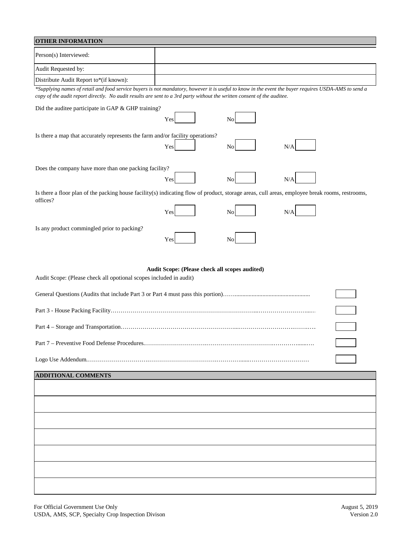| <b>OTHER INFORMATION</b>                                                       |                                                                                                                                                                                                                                                                                 |
|--------------------------------------------------------------------------------|---------------------------------------------------------------------------------------------------------------------------------------------------------------------------------------------------------------------------------------------------------------------------------|
| Person(s) Interviewed:                                                         |                                                                                                                                                                                                                                                                                 |
| Audit Requested by:                                                            |                                                                                                                                                                                                                                                                                 |
| Distribute Audit Report to*(if known):                                         |                                                                                                                                                                                                                                                                                 |
|                                                                                | *Supplying names of retail and food service buyers is not mandatory, however it is useful to know in the event the buyer requires USDA-AMS to send a<br>copy of the audit report directly. No audit results are sent to a 3rd party without the written consent of the auditee. |
| Did the auditee participate in GAP & GHP training?                             |                                                                                                                                                                                                                                                                                 |
|                                                                                | Yes<br>No                                                                                                                                                                                                                                                                       |
| Is there a map that accurately represents the farm and/or facility operations? |                                                                                                                                                                                                                                                                                 |
|                                                                                | Yes<br>N/A<br>No                                                                                                                                                                                                                                                                |
| Does the company have more than one packing facility?                          |                                                                                                                                                                                                                                                                                 |
|                                                                                | Yes<br>N/A<br>No                                                                                                                                                                                                                                                                |
| offices?                                                                       | Is there a floor plan of the packing house facility(s) indicating flow of product, storage areas, cull areas, employee break rooms, restrooms,                                                                                                                                  |
|                                                                                | Yes<br>N/A<br>No                                                                                                                                                                                                                                                                |
| Is any product commingled prior to packing?                                    | Yes<br>No                                                                                                                                                                                                                                                                       |
|                                                                                |                                                                                                                                                                                                                                                                                 |
|                                                                                |                                                                                                                                                                                                                                                                                 |
| Audit Scope: (Please check all opotional scopes included in audit)             | Audit Scope: (Please check all scopes audited)                                                                                                                                                                                                                                  |
|                                                                                |                                                                                                                                                                                                                                                                                 |
|                                                                                |                                                                                                                                                                                                                                                                                 |
|                                                                                |                                                                                                                                                                                                                                                                                 |
|                                                                                |                                                                                                                                                                                                                                                                                 |
|                                                                                |                                                                                                                                                                                                                                                                                 |
| <b>ADDITIONAL COMMENTS</b>                                                     |                                                                                                                                                                                                                                                                                 |
|                                                                                |                                                                                                                                                                                                                                                                                 |
|                                                                                |                                                                                                                                                                                                                                                                                 |
|                                                                                |                                                                                                                                                                                                                                                                                 |
|                                                                                |                                                                                                                                                                                                                                                                                 |
|                                                                                |                                                                                                                                                                                                                                                                                 |
|                                                                                |                                                                                                                                                                                                                                                                                 |
|                                                                                |                                                                                                                                                                                                                                                                                 |
|                                                                                |                                                                                                                                                                                                                                                                                 |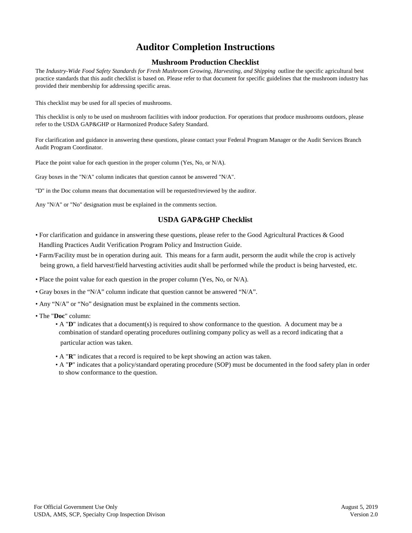## **Auditor Completion Instructions**

#### **Mushroom Production Checklist**

The *Industry-Wide Food Safety Standards for Fresh Mushroom Growing, Harvesting, and Shipping* outline the specific agricultural best practice standards that this audit checklist is based on. Please refer to that document for specific guidelines that the mushroom industry has provided their membership for addressing specific areas.

This checklist may be used for all species of mushrooms.

This checklist is only to be used on mushroom facilities with indoor production. For operations that produce mushrooms outdoors, please refer to the USDA GAP&GHP or Harmonized Produce Safety Standard.

For clarification and guidance in answering these questions, please contact your Federal Program Manager or the Audit Services Branch Audit Program Coordinator.

Place the point value for each question in the proper column (Yes, No, or N/A).

Gray boxes in the "N/A" column indicates that question cannot be answered "N/A".

"D" in the Doc column means that documentation will be requested/reviewed by the auditor.

Any "N/A" or "No" designation must be explained in the comments section.

#### **USDA GAP&GHP Checklist**

- For clarification and guidance in answering these questions, please refer to the Good Agricultural Practices & Good Handling Practices Audit Verification Program Policy and Instruction Guide.
- • Farm/Facility must be in operation during auit. This means for a farm audit, persorm the audit while the crop is actively being grown, a field harvest/field harvesting activities audit shall be performed while the product is being harvested, etc.
- Place the point value for each question in the proper column (Yes, No, or N/A).
- Gray boxes in the "N/A" column indicate that question cannot be answered "N/A".
- Any "N/A" or "No" designation must be explained in the comments section.
- The "**Doc**" column:
	- A "**D**" indicates that a document(s) is required to show conformance to the question. A document may be a combination of standard operating procedures outlining company policy as well as a record indicating that a particular action was taken.
	- A "**R**" indicates that a record is required to be kept showing an action was taken.
	- A "**P**" indicates that a policy/standard operating procedure (SOP) must be documented in the food safety plan in order to show conformance to the question.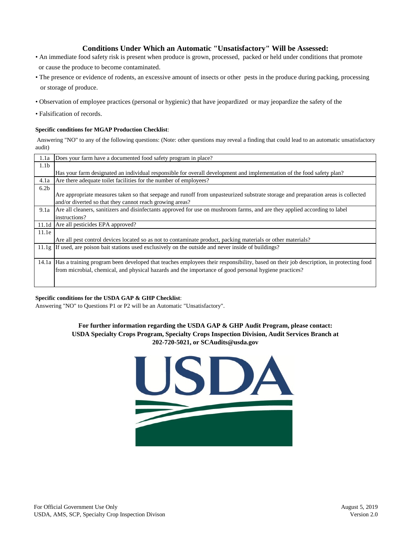#### **Conditions Under Which an Automatic "Unsatisfactory" Will be Assessed:**

- An immediate food safety risk is present when produce is grown, processed, packed or held under conditions that promote or cause the produce to become contaminated.
- The presence or evidence of rodents, an excessive amount of insects or other pests in the produce during packing, processing or storage of produce.
- Observation of employee practices (personal or hygienic) that have jeopardized or may jeopardize the safety of the
- Falsification of records.

#### **Specific conditions for MGAP Production Checklist**:

 Answering "NO" to any of the following questions: (Note: other questions may reveal a finding that could lead to an automatic unsatisfactory audit)

| 1.1a             | Does your farm have a documented food safety program in place?                                                                              |
|------------------|---------------------------------------------------------------------------------------------------------------------------------------------|
| 1.1 <sub>b</sub> |                                                                                                                                             |
|                  | Has your farm designated an individual responsible for overall development and implementation of the food safety plan?                      |
| 4.1a             | Are there adequate toilet facilities for the number of employees?                                                                           |
| 6.2 <sub>b</sub> |                                                                                                                                             |
|                  | Are appropriate measures taken so that seepage and runoff from unpasteurized substrate storage and preparation areas is collected           |
|                  | and/or diverted so that they cannot reach growing areas?                                                                                    |
| 9.1a             | Are all cleaners, sanitizers and disinfectants approved for use on mushroom farms, and are they applied according to label                  |
|                  | instructions?                                                                                                                               |
| 11.1d            | Are all pesticides EPA approved?                                                                                                            |
| 11.1e            |                                                                                                                                             |
|                  | Are all pest control devices located so as not to contaminate product, packing materials or other materials?                                |
|                  | 11.1g If used, are poison bait stations used exclusively on the outside and never inside of buildings?                                      |
|                  |                                                                                                                                             |
|                  | 14.1a Has a training program been developed that teaches employees their responsibility, based on their job description, in protecting food |
|                  | from microbial, chemical, and physical hazards and the importance of good personal hygiene practices?                                       |
|                  |                                                                                                                                             |
|                  |                                                                                                                                             |

#### **Specific conditions for the USDA GAP & GHP Checklist**:

Answering "NO" to Questions P1 or P2 will be an Automatic "Unsatisfactory".

# **USDA Specialty Crops Program, Specialty Crops Inspection Division, Audit Services Branch at 202-720-5021, or SCAudits@usda.gov For further information regarding the USDA GAP & GHP Audit Program, please contact:**

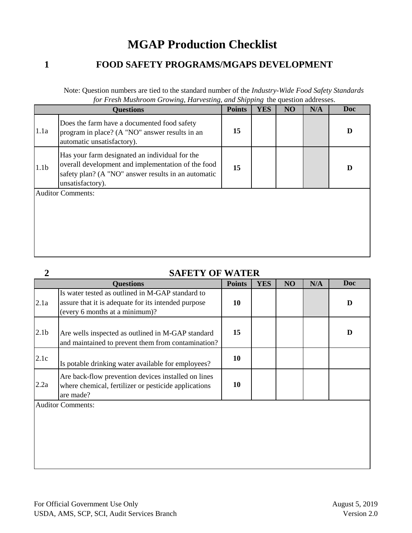# **MGAP Production Checklist**

## **1**

**2** 

## **FOOD SAFETY PROGRAMS/MGAPS DEVELOPMENT**

| Note: Question numbers are tied to the standard number of the <i>Industry-Wide Food Safety Standards</i> |  |
|----------------------------------------------------------------------------------------------------------|--|
| for Fresh Mushroom Growing, Harvesting, and Shipping the question addresses.                             |  |

|                  | <b>Questions</b>                                                                                                                                                                | <b>Points</b> | <b>YES</b> | NO | N/A | <b>Doc</b> |
|------------------|---------------------------------------------------------------------------------------------------------------------------------------------------------------------------------|---------------|------------|----|-----|------------|
| 1.1a             | Does the farm have a documented food safety<br>program in place? (A "NO" answer results in an<br>automatic unsatisfactory).                                                     | 15            |            |    |     | D          |
| 1.1 <sub>b</sub> | Has your farm designated an individual for the<br>overall development and implementation of the food<br>safety plan? (A "NO" answer results in an automatic<br>unsatisfactory). | 15            |            |    |     | D          |
|                  | <b>Auditor Comments:</b>                                                                                                                                                        |               |            |    |     |            |

## **SAFETY OF WATER**

|                  | <b>Questions</b>                                                                                                                          | <b>Points</b> | <b>YES</b> | NO | N/A | <b>Doc</b> |
|------------------|-------------------------------------------------------------------------------------------------------------------------------------------|---------------|------------|----|-----|------------|
| 2.1a             | Is water tested as outlined in M-GAP standard to<br>assure that it is adequate for its intended purpose<br>(every 6 months at a minimum)? | 10            |            |    |     | D          |
| 2.1 <sub>b</sub> | Are wells inspected as outlined in M-GAP standard<br>and maintained to prevent them from contamination?                                   | 15            |            |    |     | D          |
| 2.1c             | Is potable drinking water available for employees?                                                                                        | 10            |            |    |     |            |
| 2.2a             | Are back-flow prevention devices installed on lines<br>where chemical, fertilizer or pesticide applications<br>are made?                  | 10            |            |    |     |            |
|                  | <b>Auditor Comments:</b>                                                                                                                  |               |            |    |     |            |
|                  |                                                                                                                                           |               |            |    |     |            |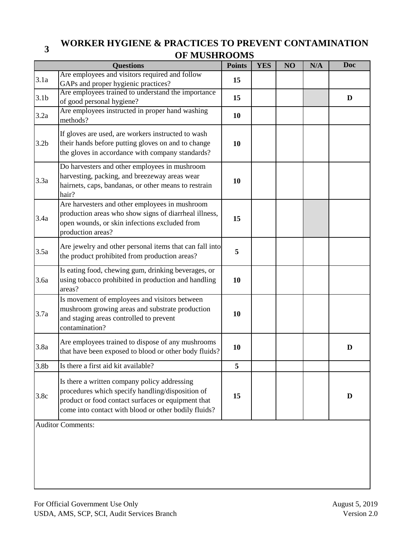## **<sup>3</sup>WORKER HYGIENE & PRACTICES TO PREVENT CONTAMINATION OF MUSHROOMS**

|                  | <b>Questions</b>                                                                                                                                                                                               | <b>Points</b> | <b>YES</b> | NO | N/A | <b>Doc</b> |
|------------------|----------------------------------------------------------------------------------------------------------------------------------------------------------------------------------------------------------------|---------------|------------|----|-----|------------|
| 3.1a             | Are employees and visitors required and follow<br>GAPs and proper hygienic practices?                                                                                                                          | 15            |            |    |     |            |
| 3.1 <sub>b</sub> | Are employees trained to understand the importance<br>of good personal hygiene?                                                                                                                                | 15            |            |    |     | D          |
| 3.2a             | Are employees instructed in proper hand washing<br>methods?                                                                                                                                                    | 10            |            |    |     |            |
| 3.2 <sub>b</sub> | If gloves are used, are workers instructed to wash<br>their hands before putting gloves on and to change<br>the gloves in accordance with company standards?                                                   | 10            |            |    |     |            |
| 3.3a             | Do harvesters and other employees in mushroom<br>harvesting, packing, and breezeway areas wear<br>hairnets, caps, bandanas, or other means to restrain<br>hair?                                                | 10            |            |    |     |            |
| 3.4a             | Are harvesters and other employees in mushroom<br>production areas who show signs of diarrheal illness,<br>open wounds, or skin infections excluded from<br>production areas?                                  | 15            |            |    |     |            |
| 3.5a             | Are jewelry and other personal items that can fall into<br>the product prohibited from production areas?                                                                                                       | 5             |            |    |     |            |
| 3.6a             | Is eating food, chewing gum, drinking beverages, or<br>using tobacco prohibited in production and handling<br>areas?                                                                                           | 10            |            |    |     |            |
| 3.7a             | Is movement of employees and visitors between<br>mushroom growing areas and substrate production<br>and staging areas controlled to prevent<br>contamination?                                                  | 10            |            |    |     |            |
| 3.8a             | Are employees trained to dispose of any mushrooms<br>that have been exposed to blood or other body fluids?                                                                                                     | 10            |            |    |     | D          |
| 3.8 <sub>b</sub> | Is there a first aid kit available?                                                                                                                                                                            | 5             |            |    |     |            |
| 3.8c             | Is there a written company policy addressing<br>procedures which specify handling/disposition of<br>product or food contact surfaces or equipment that<br>come into contact with blood or other bodily fluids? | 15            |            |    |     | D          |
|                  | <b>Auditor Comments:</b>                                                                                                                                                                                       |               |            |    |     |            |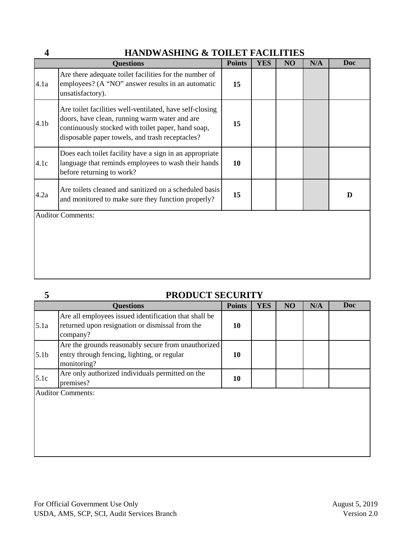## **HANDWASHING & TOILET FACILITIES**

|                  | <b>Questions</b>                                                                                                                                                                                                   | <b>Points</b> | <b>YES</b> | NO | N/A | <b>Doc</b> |
|------------------|--------------------------------------------------------------------------------------------------------------------------------------------------------------------------------------------------------------------|---------------|------------|----|-----|------------|
| 4.1a             | Are there adequate toilet facilities for the number of<br>employees? (A "NO" answer results in an automatic<br>unsatisfactory).                                                                                    | 15            |            |    |     |            |
| 4.1 <sub>b</sub> | Are toilet facilities well-ventilated, have self-closing<br>doors, have clean, running warm water and are<br>continuously stocked with toilet paper, hand soap,<br>disposable paper towels, and trash receptacles? | 15            |            |    |     |            |
| 4.1c             | Does each toilet facility have a sign in an appropriate<br>language that reminds employees to wash their hands<br>before returning to work?                                                                        | 10            |            |    |     |            |
| 4.2a             | Are toilets cleaned and sanitized on a scheduled basis<br>and monitored to make sure they function properly?                                                                                                       | 15            |            |    |     | D          |
|                  | <b>Auditor Comments:</b>                                                                                                                                                                                           |               |            |    |     |            |
|                  |                                                                                                                                                                                                                    |               |            |    |     |            |

**5** 

**4** 

## **PRODUCT SECURITY**

|                  | <b>Questions</b>                                                                                                     | <b>Points</b> | <b>YES</b> | NO | N/A | <b>Doc</b> |
|------------------|----------------------------------------------------------------------------------------------------------------------|---------------|------------|----|-----|------------|
| 5.1a             | Are all employees issued identification that shall be<br>returned upon resignation or dismissal from the<br>company? | 10            |            |    |     |            |
| 5.1 <sub>b</sub> | Are the grounds reasonably secure from unauthorized<br>entry through fencing, lighting, or regular<br>monitoring?    | 10            |            |    |     |            |
| 5.1c             | Are only authorized individuals permitted on the<br>premises?                                                        | 10            |            |    |     |            |
|                  | <b>Auditor Comments:</b>                                                                                             |               |            |    |     |            |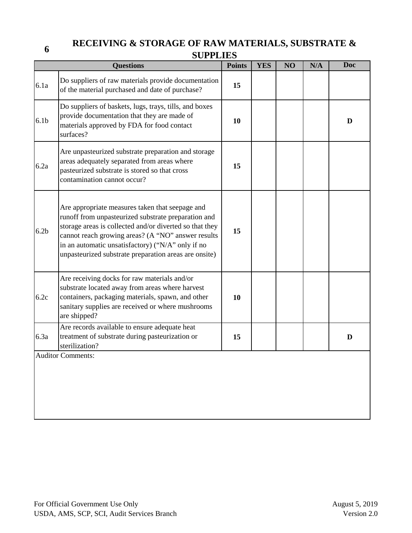## **6RECEIVING & STORAGE OF RAW MATERIALS, SUBSTRATE & SUPPLIES**

|                  | dufflied                                                                                                                                                                                                                                                                                                                              |               |            |    |     |            |
|------------------|---------------------------------------------------------------------------------------------------------------------------------------------------------------------------------------------------------------------------------------------------------------------------------------------------------------------------------------|---------------|------------|----|-----|------------|
|                  | <b>Questions</b>                                                                                                                                                                                                                                                                                                                      | <b>Points</b> | <b>YES</b> | NO | N/A | <b>Doc</b> |
| 6.1a             | Do suppliers of raw materials provide documentation<br>of the material purchased and date of purchase?                                                                                                                                                                                                                                | 15            |            |    |     |            |
| 6.1 <sub>b</sub> | Do suppliers of baskets, lugs, trays, tills, and boxes<br>provide documentation that they are made of<br>materials approved by FDA for food contact<br>surfaces?                                                                                                                                                                      | 10            |            |    |     | D          |
| 6.2a             | Are unpasteurized substrate preparation and storage<br>areas adequately separated from areas where<br>pasteurized substrate is stored so that cross<br>contamination cannot occur?                                                                                                                                                    | 15            |            |    |     |            |
| 6.2 <sub>b</sub> | Are appropriate measures taken that seepage and<br>runoff from unpasteurized substrate preparation and<br>storage areas is collected and/or diverted so that they<br>cannot reach growing areas? (A "NO" answer results<br>in an automatic unsatisfactory) ("N/A" only if no<br>unpasteurized substrate preparation areas are onsite) | 15            |            |    |     |            |
| 6.2c             | Are receiving docks for raw materials and/or<br>substrate located away from areas where harvest<br>containers, packaging materials, spawn, and other<br>sanitary supplies are received or where mushrooms<br>are shipped?                                                                                                             | 10            |            |    |     |            |
| 6.3a             | Are records available to ensure adequate heat<br>treatment of substrate during pasteurization or<br>sterilization?                                                                                                                                                                                                                    | 15            |            |    |     | D          |
|                  | <b>Auditor Comments:</b>                                                                                                                                                                                                                                                                                                              |               |            |    |     |            |
|                  |                                                                                                                                                                                                                                                                                                                                       |               |            |    |     |            |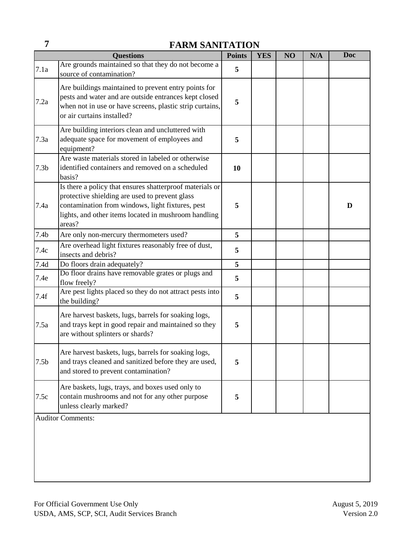# **7 FARM SANITATION**

|                  | <b>Questions</b>                                                                                                                                                                                                                 | <b>Points</b> | <b>YES</b> | NO | N/A | <b>Doc</b> |
|------------------|----------------------------------------------------------------------------------------------------------------------------------------------------------------------------------------------------------------------------------|---------------|------------|----|-----|------------|
| 7.1a             | Are grounds maintained so that they do not become a<br>source of contamination?                                                                                                                                                  | 5             |            |    |     |            |
| 7.2a             | Are buildings maintained to prevent entry points for<br>pests and water and are outside entrances kept closed<br>when not in use or have screens, plastic strip curtains,<br>or air curtains installed?                          | 5             |            |    |     |            |
| 7.3a             | Are building interiors clean and uncluttered with<br>adequate space for movement of employees and<br>equipment?                                                                                                                  | 5             |            |    |     |            |
| 7.3 <sub>b</sub> | Are waste materials stored in labeled or otherwise<br>identified containers and removed on a scheduled<br>basis?                                                                                                                 | 10            |            |    |     |            |
| 7.4a             | Is there a policy that ensures shatterproof materials or<br>protective shielding are used to prevent glass<br>contamination from windows, light fixtures, pest<br>lights, and other items located in mushroom handling<br>areas? | 5             |            |    |     | D          |
| 7.4 <sub>b</sub> | Are only non-mercury thermometers used?                                                                                                                                                                                          | 5             |            |    |     |            |
| 7.4c             | Are overhead light fixtures reasonably free of dust,<br>insects and debris?                                                                                                                                                      | 5             |            |    |     |            |
| 7.4d             | Do floors drain adequately?                                                                                                                                                                                                      | 5             |            |    |     |            |
| 7.4e             | Do floor drains have removable grates or plugs and<br>flow freely?                                                                                                                                                               | 5             |            |    |     |            |
| 7.4f             | Are pest lights placed so they do not attract pests into<br>the building?                                                                                                                                                        | 5             |            |    |     |            |
| 7.5a             | Are harvest baskets, lugs, barrels for soaking logs,<br>and trays kept in good repair and maintained so they<br>are without splinters or shards?                                                                                 | 5             |            |    |     |            |
| 7.5 <sub>b</sub> | Are harvest baskets, lugs, barrels for soaking logs,<br>and trays cleaned and sanitized before they are used,<br>and stored to prevent contamination?                                                                            | 5             |            |    |     |            |
| 7.5c             | Are baskets, lugs, trays, and boxes used only to<br>contain mushrooms and not for any other purpose<br>unless clearly marked?                                                                                                    | 5             |            |    |     |            |
|                  | <b>Auditor Comments:</b>                                                                                                                                                                                                         |               |            |    |     |            |
|                  |                                                                                                                                                                                                                                  |               |            |    |     |            |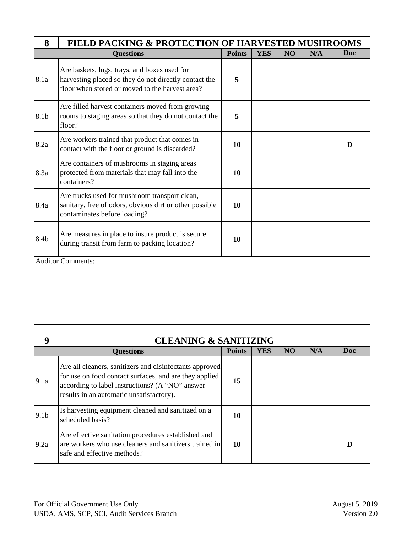| 8    | <b>FIELD PACKING &amp; PROTECTION OF HARVESTED MUSHROOMS</b>                                                                                             |               |            |    |     |     |
|------|----------------------------------------------------------------------------------------------------------------------------------------------------------|---------------|------------|----|-----|-----|
|      | <b>Questions</b>                                                                                                                                         | <b>Points</b> | <b>YES</b> | NO | N/A | Doc |
| 8.1a | Are baskets, lugs, trays, and boxes used for<br>harvesting placed so they do not directly contact the<br>floor when stored or moved to the harvest area? | 5             |            |    |     |     |
| 8.1b | Are filled harvest containers moved from growing<br>rooms to staging areas so that they do not contact the<br>floor?                                     | 5             |            |    |     |     |
| 8.2a | Are workers trained that product that comes in<br>contact with the floor or ground is discarded?                                                         | 10            |            |    |     | D   |
| 8.3a | Are containers of mushrooms in staging areas<br>protected from materials that may fall into the<br>containers?                                           | 10            |            |    |     |     |
| 8.4a | Are trucks used for mushroom transport clean,<br>sanitary, free of odors, obvious dirt or other possible<br>contaminates before loading?                 | 10            |            |    |     |     |
| 8.4b | Are measures in place to insure product is secure<br>during transit from farm to packing location?                                                       | 10            |            |    |     |     |
|      | <b>Auditor Comments:</b>                                                                                                                                 |               |            |    |     |     |
|      |                                                                                                                                                          |               |            |    |     |     |

**9** 

## **CLEANING & SANITIZING**

|                  | <b>Questions</b>                                                                                                                                                                                                 | <b>Points</b> | <b>YES</b> | N <sub>O</sub> | N/A | Doc |
|------------------|------------------------------------------------------------------------------------------------------------------------------------------------------------------------------------------------------------------|---------------|------------|----------------|-----|-----|
| 9.1a             | Are all cleaners, sanitizers and disinfectants approved<br>for use on food contact surfaces, and are they applied<br>according to label instructions? (A "NO" answer<br>results in an automatic unsatisfactory). | 15            |            |                |     |     |
| 9.1 <sub>b</sub> | Is harvesting equipment cleaned and sanitized on a<br>scheduled basis?                                                                                                                                           | 10            |            |                |     |     |
| 9.2a             | Are effective sanitation procedures established and<br>are workers who use cleaners and sanitizers trained in<br>safe and effective methods?                                                                     | 10            |            |                |     | D   |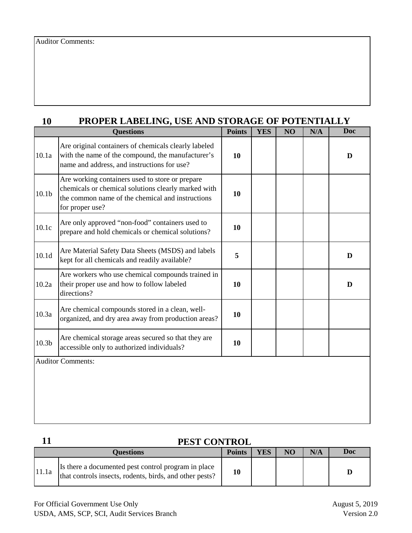| 10                | PROPER LABELING, USE AND STORAGE OF POTENTIALLY                                                                                                                               |               |            |    |     |     |  |  |  |  |
|-------------------|-------------------------------------------------------------------------------------------------------------------------------------------------------------------------------|---------------|------------|----|-----|-----|--|--|--|--|
|                   | <b>Questions</b>                                                                                                                                                              | <b>Points</b> | <b>YES</b> | NO | N/A | Doc |  |  |  |  |
| 10.1a             | Are original containers of chemicals clearly labeled<br>with the name of the compound, the manufacturer's<br>name and address, and instructions for use?                      | 10            |            |    |     | D   |  |  |  |  |
| 10.1 <sub>b</sub> | Are working containers used to store or prepare<br>chemicals or chemical solutions clearly marked with<br>the common name of the chemical and instructions<br>for proper use? | 10            |            |    |     |     |  |  |  |  |
| 10.1c             | Are only approved "non-food" containers used to<br>prepare and hold chemicals or chemical solutions?                                                                          | 10            |            |    |     |     |  |  |  |  |
| 10.1 <sub>d</sub> | Are Material Safety Data Sheets (MSDS) and labels<br>kept for all chemicals and readily available?                                                                            | 5             |            |    |     | D   |  |  |  |  |
| 10.2a             | Are workers who use chemical compounds trained in<br>their proper use and how to follow labeled<br>directions?                                                                | 10            |            |    |     | D   |  |  |  |  |
| 10.3a             | Are chemical compounds stored in a clean, well-<br>organized, and dry area away from production areas?                                                                        | 10            |            |    |     |     |  |  |  |  |
| 10.3 <sub>b</sub> | Are chemical storage areas secured so that they are<br>accessible only to authorized individuals?                                                                             | 10            |            |    |     |     |  |  |  |  |
|                   | <b>Auditor Comments:</b>                                                                                                                                                      |               |            |    |     |     |  |  |  |  |
|                   |                                                                                                                                                                               |               |            |    |     |     |  |  |  |  |

## **11**

## **PEST CONTROL**

| Ouestions |                                                                                                                |  | YES | NO <sub>1</sub> | N/A | Doc |
|-----------|----------------------------------------------------------------------------------------------------------------|--|-----|-----------------|-----|-----|
| 11.1a     | Is there a documented pest control program in place<br>that controls insects, rodents, birds, and other pests? |  |     |                 |     |     |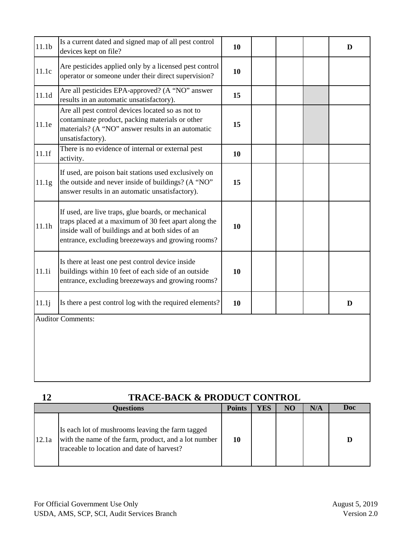| 11.1 <sub>b</sub> | Is a current dated and signed map of all pest control<br>devices kept on file?                                                                                                                                       | 10 |  | D |
|-------------------|----------------------------------------------------------------------------------------------------------------------------------------------------------------------------------------------------------------------|----|--|---|
| 11.1c             | Are pesticides applied only by a licensed pest control<br>operator or someone under their direct supervision?                                                                                                        | 10 |  |   |
| 11.1d             | Are all pesticides EPA-approved? (A "NO" answer<br>results in an automatic unsatisfactory).                                                                                                                          | 15 |  |   |
| 11.1e             | Are all pest control devices located so as not to<br>contaminate product, packing materials or other<br>materials? (A "NO" answer results in an automatic<br>unsatisfactory).                                        | 15 |  |   |
| 11.1f             | There is no evidence of internal or external pest<br>activity.                                                                                                                                                       | 10 |  |   |
| 11.1g             | If used, are poison bait stations used exclusively on<br>the outside and never inside of buildings? (A "NO"<br>answer results in an automatic unsatisfactory).                                                       | 15 |  |   |
| 11.1h             | If used, are live traps, glue boards, or mechanical<br>traps placed at a maximum of 30 feet apart along the<br>inside wall of buildings and at both sides of an<br>entrance, excluding breezeways and growing rooms? | 10 |  |   |
| 11.1i             | Is there at least one pest control device inside<br>buildings within 10 feet of each side of an outside<br>entrance, excluding breezeways and growing rooms?                                                         | 10 |  |   |
| 11.1j             | Is there a pest control log with the required elements?                                                                                                                                                              | 10 |  | D |
|                   | <b>Auditor Comments:</b>                                                                                                                                                                                             |    |  |   |
|                   |                                                                                                                                                                                                                      |    |  |   |
|                   |                                                                                                                                                                                                                      |    |  |   |

|       | <b>TRACE-BACK &amp; PRODUCT CONTROL</b>                                                                                                                |               |     |                |     |     |  |  |  |  |  |
|-------|--------------------------------------------------------------------------------------------------------------------------------------------------------|---------------|-----|----------------|-----|-----|--|--|--|--|--|
|       | <b>Questions</b>                                                                                                                                       | <b>Points</b> | YES | N <sub>O</sub> | N/A | Doc |  |  |  |  |  |
| 12.1a | Is each lot of mushrooms leaving the farm tagged<br>with the name of the farm, product, and a lot number<br>traceable to location and date of harvest? | 10            |     |                |     | D   |  |  |  |  |  |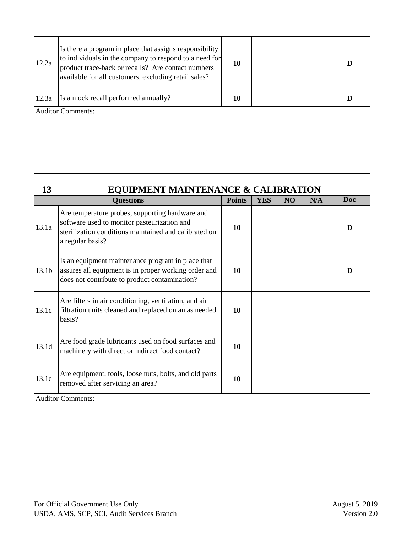| 12.2a | Is there a program in place that assigns responsibility<br>to individuals in the company to respond to a need for<br>product trace-back or recalls? Are contact numbers<br>available for all customers, excluding retail sales? | 10 |  | D |
|-------|---------------------------------------------------------------------------------------------------------------------------------------------------------------------------------------------------------------------------------|----|--|---|
| 12.3a | Is a mock recall performed annually?                                                                                                                                                                                            | 10 |  |   |
|       | <b>Auditor Comments:</b>                                                                                                                                                                                                        |    |  |   |

# **EQUIPMENT MAINTENANCE & CALIBRATION**

|       | <b>Questions</b>                                                                                                                                                            | <b>Points</b> | <b>YES</b> | NO | N/A | <b>Doc</b> |
|-------|-----------------------------------------------------------------------------------------------------------------------------------------------------------------------------|---------------|------------|----|-----|------------|
| 13.1a | Are temperature probes, supporting hardware and<br>software used to monitor pasteurization and<br>sterilization conditions maintained and calibrated on<br>a regular basis? | 10            |            |    |     | D          |
| 13.1b | Is an equipment maintenance program in place that<br>assures all equipment is in proper working order and<br>does not contribute to product contamination?                  | 10            |            |    |     | D          |
| 13.1c | Are filters in air conditioning, ventilation, and air<br>filtration units cleaned and replaced on an as needed<br>basis?                                                    | 10            |            |    |     |            |
| 13.1d | Are food grade lubricants used on food surfaces and<br>machinery with direct or indirect food contact?                                                                      | 10            |            |    |     |            |
| 13.1e | Are equipment, tools, loose nuts, bolts, and old parts<br>removed after servicing an area?                                                                                  | 10            |            |    |     |            |
|       | <b>Auditor Comments:</b>                                                                                                                                                    |               |            |    |     |            |
|       |                                                                                                                                                                             |               |            |    |     |            |
|       |                                                                                                                                                                             |               |            |    |     |            |

**13**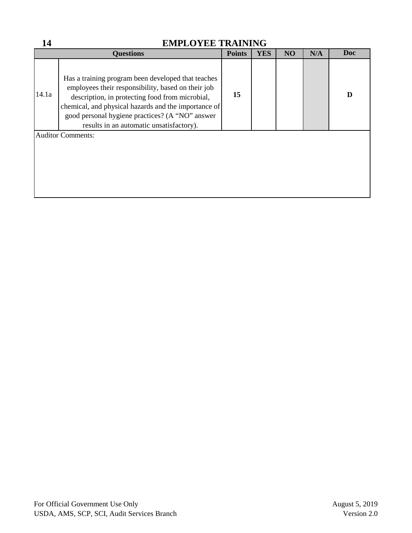| 14    | <b>EMPLOYEE TRAINING</b>                                                                                                                                                                                                                                                                                           |               |            |                |     |     |  |  |  |  |  |  |
|-------|--------------------------------------------------------------------------------------------------------------------------------------------------------------------------------------------------------------------------------------------------------------------------------------------------------------------|---------------|------------|----------------|-----|-----|--|--|--|--|--|--|
|       | <b>Questions</b>                                                                                                                                                                                                                                                                                                   | <b>Points</b> | <b>YES</b> | N <sub>O</sub> | N/A | Doc |  |  |  |  |  |  |
| 14.1a | Has a training program been developed that teaches<br>employees their responsibility, based on their job<br>description, in protecting food from microbial,<br>chemical, and physical hazards and the importance of<br>good personal hygiene practices? (A "NO" answer<br>results in an automatic unsatisfactory). | 15            |            |                |     | D   |  |  |  |  |  |  |
|       | <b>Auditor Comments:</b>                                                                                                                                                                                                                                                                                           |               |            |                |     |     |  |  |  |  |  |  |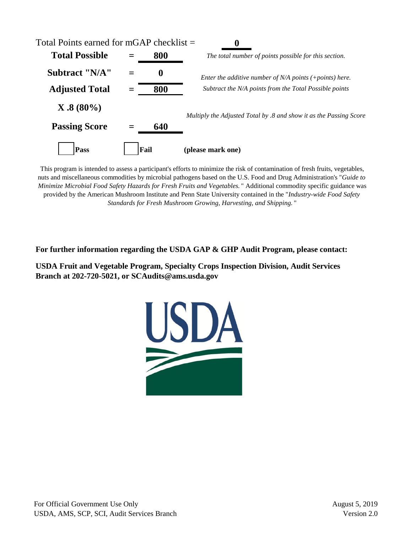

This program is intended to assess a participant's efforts to minimize the risk of contamination of fresh fruits, vegetables, nuts and miscellaneous commodities by microbial pathogens based on the U.S. Food and Drug Administration's "*Guide to Minimize Microbial Food Safety Hazards for Fresh Fruits and Vegetables.* " Additional commodity specific guidance was provided by the American Mushroom Institute and Penn State University contained in the "*Industry-wide Food Safety Standards for Fresh Mushroom Growing, Harvesting, and Shipping.* "

**For further information regarding the USDA GAP & GHP Audit Program, please contact:** 

**USDA Fruit and Vegetable Program, Specialty Crops Inspection Division, Audit Services Branch at 202-720-5021, or SCAudits@ams.usda.gov**